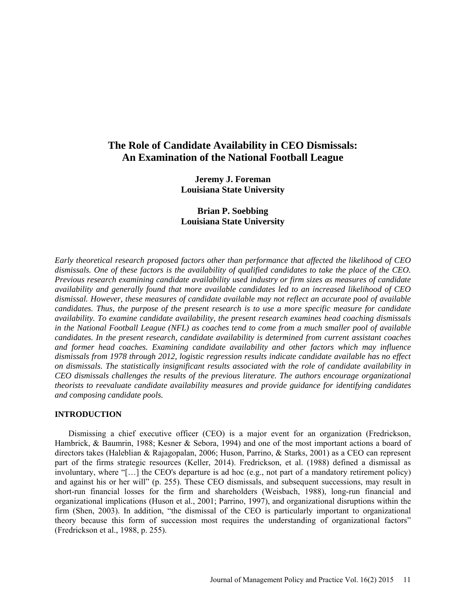# **The Role of Candidate Availability in CEO Dismissals: An Examination of the National Football League**

**Jeremy J. Foreman Louisiana State University**

**Brian P. Soebbing Louisiana State University**

*Early theoretical research proposed factors other than performance that affected the likelihood of CEO dismissals. One of these factors is the availability of qualified candidates to take the place of the CEO. Previous research examining candidate availability used industry or firm sizes as measures of candidate availability and generally found that more available candidates led to an increased likelihood of CEO dismissal. However, these measures of candidate available may not reflect an accurate pool of available candidates. Thus, the purpose of the present research is to use a more specific measure for candidate availability. To examine candidate availability, the present research examines head coaching dismissals in the National Football League (NFL) as coaches tend to come from a much smaller pool of available candidates. In the present research, candidate availability is determined from current assistant coaches and former head coaches. Examining candidate availability and other factors which may influence dismissals from 1978 through 2012, logistic regression results indicate candidate available has no effect on dismissals. The statistically insignificant results associated with the role of candidate availability in CEO dismissals challenges the results of the previous literature. The authors encourage organizational theorists to reevaluate candidate availability measures and provide guidance for identifying candidates and composing candidate pools.*

## **INTRODUCTION**

Dismissing a chief executive officer (CEO) is a major event for an organization (Fredrickson, Hambrick, & Baumrin, 1988; Kesner & Sebora, 1994) and one of the most important actions a board of directors takes (Haleblian & Rajagopalan, 2006; Huson, Parrino, & Starks, 2001) as a CEO can represent part of the firms strategic resources (Keller, 2014). Fredrickson, et al. (1988) defined a dismissal as involuntary, where "[…] the CEO's departure is ad hoc (e.g., not part of a mandatory retirement policy) and against his or her will" (p. 255). These CEO dismissals, and subsequent successions, may result in short-run financial losses for the firm and shareholders (Weisbach, 1988), long-run financial and organizational implications (Huson et al., 2001; Parrino, 1997), and organizational disruptions within the firm (Shen, 2003). In addition, "the dismissal of the CEO is particularly important to organizational theory because this form of succession most requires the understanding of organizational factors" (Fredrickson et al., 1988, p. 255).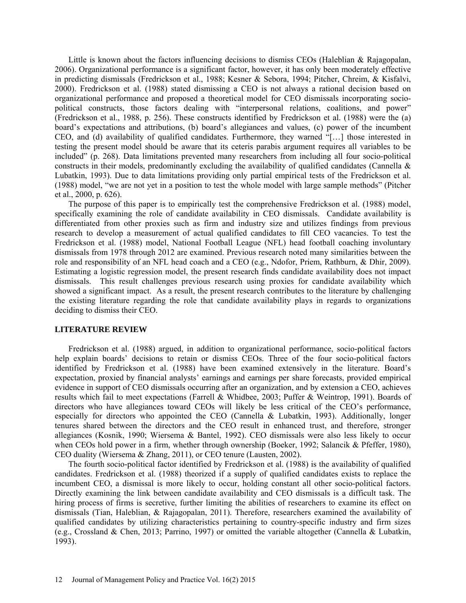Little is known about the factors influencing decisions to dismiss CEOs (Haleblian & Rajagopalan, 2006). Organizational performance is a significant factor, however, it has only been moderately effective in predicting dismissals (Fredrickson et al., 1988; Kesner & Sebora, 1994; Pitcher, Chreim, & Kisfalvi, 2000). Fredrickson et al. (1988) stated dismissing a CEO is not always a rational decision based on organizational performance and proposed a theoretical model for CEO dismissals incorporating sociopolitical constructs, those factors dealing with "interpersonal relations, coalitions, and power" (Fredrickson et al., 1988, p. 256). These constructs identified by Fredrickson et al. (1988) were the (a) board's expectations and attributions, (b) board's allegiances and values, (c) power of the incumbent CEO, and (d) availability of qualified candidates. Furthermore, they warned "[…] those interested in testing the present model should be aware that its ceteris parabis argument requires all variables to be included" (p. 268). Data limitations prevented many researchers from including all four socio-political constructs in their models, predominantly excluding the availability of qualified candidates (Cannella  $\&$ Lubatkin, 1993). Due to data limitations providing only partial empirical tests of the Fredrickson et al. (1988) model, "we are not yet in a position to test the whole model with large sample methods" (Pitcher et al., 2000, p. 626).

The purpose of this paper is to empirically test the comprehensive Fredrickson et al. (1988) model, specifically examining the role of candidate availability in CEO dismissals. Candidate availability is differentiated from other proxies such as firm and industry size and utilizes findings from previous research to develop a measurement of actual qualified candidates to fill CEO vacancies. To test the Fredrickson et al. (1988) model, National Football League (NFL) head football coaching involuntary dismissals from 1978 through 2012 are examined. Previous research noted many similarities between the role and responsibility of an NFL head coach and a CEO (e.g., Ndofor, Priem, Rathburn, & Dhir, 2009). Estimating a logistic regression model, the present research finds candidate availability does not impact dismissals. This result challenges previous research using proxies for candidate availability which showed a significant impact. As a result, the present research contributes to the literature by challenging the existing literature regarding the role that candidate availability plays in regards to organizations deciding to dismiss their CEO.

#### **LITERATURE REVIEW**

Fredrickson et al. (1988) argued, in addition to organizational performance, socio-political factors help explain boards' decisions to retain or dismiss CEOs. Three of the four socio-political factors identified by Fredrickson et al. (1988) have been examined extensively in the literature. Board's expectation, proxied by financial analysts' earnings and earnings per share forecasts, provided empirical evidence in support of CEO dismissals occurring after an organization, and by extension a CEO, achieves results which fail to meet expectations (Farrell & Whidbee, 2003; Puffer & Weintrop, 1991). Boards of directors who have allegiances toward CEOs will likely be less critical of the CEO's performance, especially for directors who appointed the CEO (Cannella & Lubatkin, 1993). Additionally, longer tenures shared between the directors and the CEO result in enhanced trust, and therefore, stronger allegiances (Kosnik, 1990; Wiersema & Bantel, 1992). CEO dismissals were also less likely to occur when CEOs hold power in a firm, whether through ownership (Boeker, 1992; Salancik & Pfeffer, 1980), CEO duality (Wiersema & Zhang, 2011), or CEO tenure (Lausten, 2002).

The fourth socio-political factor identified by Fredrickson et al. (1988) is the availability of qualified candidates. Fredrickson et al. (1988) theorized if a supply of qualified candidates exists to replace the incumbent CEO, a dismissal is more likely to occur, holding constant all other socio-political factors. Directly examining the link between candidate availability and CEO dismissals is a difficult task. The hiring process of firms is secretive, further limiting the abilities of researchers to examine its effect on dismissals (Tian, Haleblian, & Rajagopalan, 2011). Therefore, researchers examined the availability of qualified candidates by utilizing characteristics pertaining to country-specific industry and firm sizes (e.g., Crossland & Chen, 2013; Parrino, 1997) or omitted the variable altogether (Cannella & Lubatkin, 1993).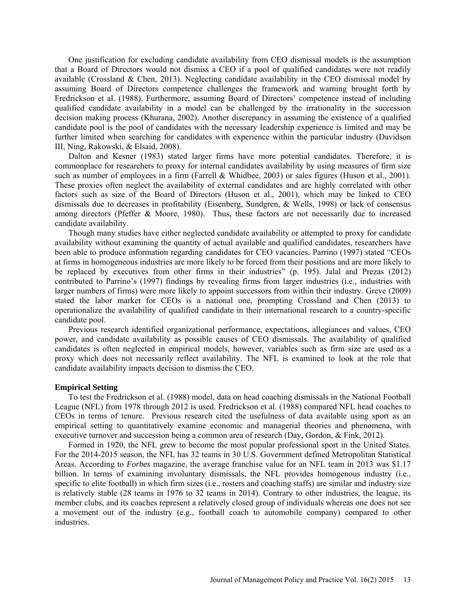One justification for excluding candidate availability from CEO dismissal models is the assumption that a Board of Directors would not dismiss a CEO if a pool of qualified candidates were not readily available (Crossland & Chen, 2013). Neglecting candidate availability in the CEO dismissal model by assuming Board of Directors competence challenges the framework and warning brought forth by Fredrickson et al. (1988). Furthermore, assuming Board of Directors' competence instead of including qualified candidate availability in a model can be challenged by the irrationality in the succession decision making process (Khurana, 2002). Another discrepancy in assuming the existence of a qualified candidate pool is the pool of candidates with the necessary leadership experience is limited and may be further limited when searching for candidates with experience within the particular industry (Davidson III, Ning, Rakowski, & Elsaid, 2008).

Dalton and Kesner (1983) stated larger firms have more potential candidates. Therefore, it is commonplace for researchers to proxy for internal candidates availability by using measures of firm size such as number of employees in a firm (Farrell & Whidbee, 2003) or sales figures (Huson et al., 2001). These proxies often neglect the availability of external candidates and are highly correlated with other factors such as size of the Board of Directors (Huson et al., 2001), which may be linked to CEO dismissals due to decreases in profitability (Eisenberg, Sundgren, & Wells, 1998) or lack of consensus among directors (Pfeffer & Moore, 1980). Thus, these factors are not necessarily due to increased candidate availability.

Though many studies have either neglected candidate availability or attempted to proxy for candidate availability without examining the quantity of actual available and qualified candidates, researchers have been able to produce information regarding candidates for CEO vacancies. Parrino (1997) stated "CEOs at firms in homogeneous industries are more likely to be forced from their positions and are more likely to be replaced by executives from other firms in their industries" (p. 195). Jalal and Prezas (2012) contributed to Parrino's (1997) findings by revealing firms from larger industries (i.e., industries with larger numbers of firms) were more likely to appoint successors from within their industry. Greve (2009) stated the labor market for CEOs is a national one, prompting Crossland and Chen (2013) to operationalize the availability of qualified candidate in their international research to a country-specific candidate pool.

Previous research identified organizational performance, expectations, allegiances and values, CEO power, and candidate availability as possible causes of CEO dismissals. The availability of qualified candidates is often neglected in empirical models, however, variables such as firm size are used as a proxy which does not necessarily reflect availability. The NFL is examined to look at the role that candidate availability impacts decision to dismiss the CEO.

#### **Empirical Setting**

To test the Fredrickson et al. (1988) model, data on head coaching dismissals in the National Football League (NFL) from 1978 through 2012 is used. Fredrickson et al. (1988) compared NFL head coaches to CEOs in terms of tenure. Previous research cited the usefulness of data available using sport as an empirical setting to quantitatively examine economic and managerial theories and phenomena, with executive turnover and succession being a common area of research (Day, Gordon, & Fink, 2012).

Formed in 1920, the NFL grew to become the most popular professional sport in the United States. For the 2014-2015 season, the NFL has 32 teams in 30 U.S. Government defined Metropolitan Statistical Areas. According to *Forbes* magazine, the average franchise value for an NFL team in 2013 was \$1.17 billion. In terms of examining involuntary dismissals, the NFL provides homogenous industry (i.e., specific to elite football) in which firm sizes (i.e., rosters and coaching staffs) are similar and industry size is relatively stable (28 teams in 1976 to 32 teams in 2014). Contrary to other industries, the league, its member clubs, and its coaches represent a relatively closed group of individuals whereas one does not see a movement out of the industry (e.g., football coach to automobile company) compared to other industries.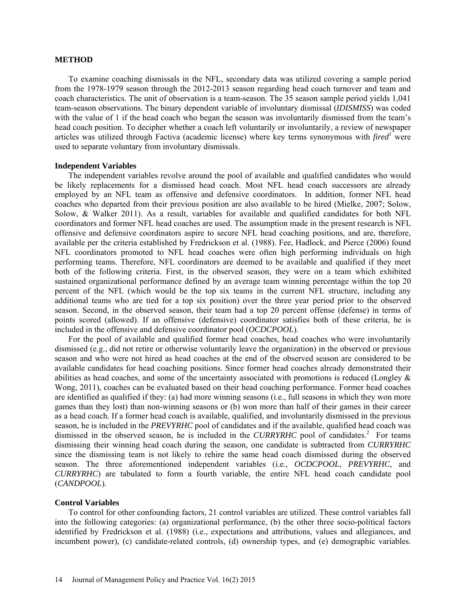#### **METHOD**

To examine coaching dismissals in the NFL, secondary data was utilized covering a sample period from the 1978-1979 season through the 2012-2013 season regarding head coach turnover and team and coach characteristics. The unit of observation is a team-season. The 35 season sample period yields 1,041 team-season observations. The binary dependent variable of involuntary dismissal (*IDISMISS*) was coded with the value of 1 if the head coach who began the season was involuntarily dismissed from the team's head coach position. To decipher whether a coach left voluntarily or involuntarily, a review of newspaper articles was utilized through Factiva (academic license) where key terms synonymous with *fired<sup>1</sup>* were used to separate voluntary from involuntary dismissals.

### **Independent Variables**

The independent variables revolve around the pool of available and qualified candidates who would be likely replacements for a dismissed head coach. Most NFL head coach successors are already employed by an NFL team as offensive and defensive coordinators. In addition, former NFL head coaches who departed from their previous position are also available to be hired (Mielke, 2007; Solow, Solow, & Walker 2011). As a result, variables for available and qualified candidates for both NFL coordinators and former NFL head coaches are used. The assumption made in the present research is NFL offensive and defensive coordinators aspire to secure NFL head coaching positions, and are, therefore, available per the criteria established by Fredrickson et al. (1988). Fee, Hadlock, and Pierce (2006) found NFL coordinators promoted to NFL head coaches were often high performing individuals on high performing teams. Therefore, NFL coordinators are deemed to be available and qualified if they meet both of the following criteria. First, in the observed season, they were on a team which exhibited sustained organizational performance defined by an average team winning percentage within the top 20 percent of the NFL (which would be the top six teams in the current NFL structure, including any additional teams who are tied for a top six position) over the three year period prior to the observed season. Second, in the observed season, their team had a top 20 percent offense (defense) in terms of points scored (allowed). If an offensive (defensive) coordinator satisfies both of these criteria, he is included in the offensive and defensive coordinator pool (*OCDCPOOL*).

For the pool of available and qualified former head coaches, head coaches who were involuntarily dismissed (e.g., did not retire or otherwise voluntarily leave the organization) in the observed or previous season and who were not hired as head coaches at the end of the observed season are considered to be available candidates for head coaching positions. Since former head coaches already demonstrated their abilities as head coaches, and some of the uncertainty associated with promotions is reduced (Longley & Wong, 2011), coaches can be evaluated based on their head coaching performance. Former head coaches are identified as qualified if they: (a) had more winning seasons (i.e., full seasons in which they won more games than they lost) than non-winning seasons or (b) won more than half of their games in their career as a head coach. If a former head coach is available, qualified, and involuntarily dismissed in the previous season, he is included in the *PREVYRHC* pool of candidates and if the available, qualified head coach was dismissed in the observed season, he is included in the *CURRYRHC* pool of candidates.<sup>2</sup> For teams dismissing their winning head coach during the season, one candidate is subtracted from *CURRYRHC* since the dismissing team is not likely to rehire the same head coach dismissed during the observed season. The three aforementioned independent variables (i.e., *OCDCPOOL*, *PREVYRHC*, and *CURRYRHC*) are tabulated to form a fourth variable, the entire NFL head coach candidate pool (*CANDPOOL*).

#### **Control Variables**

To control for other confounding factors, 21 control variables are utilized. These control variables fall into the following categories: (a) organizational performance, (b) the other three socio-political factors identified by Fredrickson et al. (1988) (i.e., expectations and attributions, values and allegiances, and incumbent power), (c) candidate-related controls, (d) ownership types, and (e) demographic variables.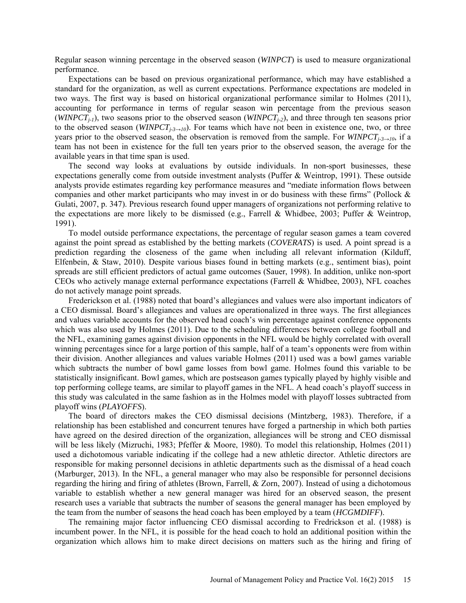Regular season winning percentage in the observed season (*WINPCT*) is used to measure organizational performance.

Expectations can be based on previous organizational performance, which may have established a standard for the organization, as well as current expectations. Performance expectations are modeled in two ways. The first way is based on historical organizational performance similar to Holmes (2011), accounting for performance in terms of regular season win percentage from the previous season  $(WINPCT<sub>i-1</sub>)$ , two seasons prior to the observed season  $(WINPCT<sub>i-2</sub>)$ , and three through ten seasons prior to the observed season (*WINPCTj-3→10*). For teams which have not been in existence one, two, or three years prior to the observed season, the observation is removed from the sample. For *WINPCT<sub>j-3→10</sub>*, if a team has not been in existence for the full ten years prior to the observed season, the average for the available years in that time span is used.

The second way looks at evaluations by outside individuals. In non-sport businesses, these expectations generally come from outside investment analysts (Puffer & Weintrop, 1991). These outside analysts provide estimates regarding key performance measures and "mediate information flows between companies and other market participants who may invest in or do business with these firms" (Pollock & Gulati, 2007, p. 347). Previous research found upper managers of organizations not performing relative to the expectations are more likely to be dismissed (e.g., Farrell & Whidbee, 2003; Puffer & Weintrop, 1991).

To model outside performance expectations, the percentage of regular season games a team covered against the point spread as established by the betting markets (*COVERATS*) is used. A point spread is a prediction regarding the closeness of the game when including all relevant information (Kilduff, Elfenbein, & Staw, 2010). Despite various biases found in betting markets (e.g., sentiment bias), point spreads are still efficient predictors of actual game outcomes (Sauer, 1998). In addition, unlike non-sport CEOs who actively manage external performance expectations (Farrell & Whidbee, 2003), NFL coaches do not actively manage point spreads.

Frederickson et al. (1988) noted that board's allegiances and values were also important indicators of a CEO dismissal. Board's allegiances and values are operationalized in three ways. The first allegiances and values variable accounts for the observed head coach's win percentage against conference opponents which was also used by Holmes (2011). Due to the scheduling differences between college football and the NFL, examining games against division opponents in the NFL would be highly correlated with overall winning percentages since for a large portion of this sample, half of a team's opponents were from within their division. Another allegiances and values variable Holmes (2011) used was a bowl games variable which subtracts the number of bowl game losses from bowl game. Holmes found this variable to be statistically insignificant. Bowl games, which are postseason games typically played by highly visible and top performing college teams, are similar to playoff games in the NFL. A head coach's playoff success in this study was calculated in the same fashion as in the Holmes model with playoff losses subtracted from playoff wins (*PLAYOFFS*).

The board of directors makes the CEO dismissal decisions (Mintzberg, 1983). Therefore, if a relationship has been established and concurrent tenures have forged a partnership in which both parties have agreed on the desired direction of the organization, allegiances will be strong and CEO dismissal will be less likely (Mizruchi, 1983; Pfeffer & Moore, 1980). To model this relationship, Holmes (2011) used a dichotomous variable indicating if the college had a new athletic director. Athletic directors are responsible for making personnel decisions in athletic departments such as the dismissal of a head coach (Marburger, 2013). In the NFL, a general manager who may also be responsible for personnel decisions regarding the hiring and firing of athletes (Brown, Farrell, & Zorn, 2007). Instead of using a dichotomous variable to establish whether a new general manager was hired for an observed season, the present research uses a variable that subtracts the number of seasons the general manager has been employed by the team from the number of seasons the head coach has been employed by a team (*HCGMDIFF*).

The remaining major factor influencing CEO dismissal according to Fredrickson et al. (1988) is incumbent power. In the NFL, it is possible for the head coach to hold an additional position within the organization which allows him to make direct decisions on matters such as the hiring and firing of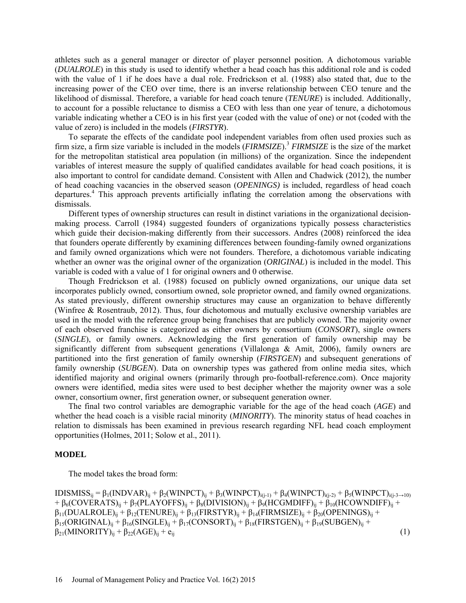athletes such as a general manager or director of player personnel position. A dichotomous variable (*DUALROLE*) in this study is used to identify whether a head coach has this additional role and is coded with the value of 1 if he does have a dual role. Fredrickson et al. (1988) also stated that, due to the increasing power of the CEO over time, there is an inverse relationship between CEO tenure and the likelihood of dismissal. Therefore, a variable for head coach tenure (*TENURE*) is included. Additionally, to account for a possible reluctance to dismiss a CEO with less than one year of tenure, a dichotomous variable indicating whether a CEO is in his first year (coded with the value of one) or not (coded with the value of zero) is included in the models (*FIRSTYR*).

To separate the effects of the candidate pool independent variables from often used proxies such as firm size, a firm size variable is included in the models (*FIRMSIZE*).<sup>3</sup> *FIRMSIZE* is the size of the market for the metropolitan statistical area population (in millions) of the organization. Since the independent variables of interest measure the supply of qualified candidates available for head coach positions, it is also important to control for candidate demand. Consistent with Allen and Chadwick (2012), the number of head coaching vacancies in the observed season (*OPENINGS)* is included, regardless of head coach departures.4 This approach prevents artificially inflating the correlation among the observations with dismissals.

Different types of ownership structures can result in distinct variations in the organizational decisionmaking process. Carroll (1984) suggested founders of organizations typically possess characteristics which guide their decision-making differently from their successors. Andres (2008) reinforced the idea that founders operate differently by examining differences between founding-family owned organizations and family owned organizations which were not founders. Therefore, a dichotomous variable indicating whether an owner was the original owner of the organization *(ORIGINAL)* is included in the model. This variable is coded with a value of 1 for original owners and 0 otherwise.

Though Fredrickson et al. (1988) focused on publicly owned organizations, our unique data set incorporates publicly owned, consortium owned, sole proprietor owned, and family owned organizations. As stated previously, different ownership structures may cause an organization to behave differently (Winfree & Rosentraub, 2012). Thus, four dichotomous and mutually exclusive ownership variables are used in the model with the reference group being franchises that are publicly owned. The majority owner of each observed franchise is categorized as either owners by consortium (*CONSORT*), single owners (*SINGLE*), or family owners. Acknowledging the first generation of family ownership may be significantly different from subsequent generations (Villalonga & Amit, 2006), family owners are partitioned into the first generation of family ownership (*FIRSTGEN*) and subsequent generations of family ownership (*SUBGEN*). Data on ownership types was gathered from online media sites, which identified majority and original owners (primarily through pro-football-reference.com). Once majority owners were identified, media sites were used to best decipher whether the majority owner was a sole owner, consortium owner, first generation owner, or subsequent generation owner.

The final two control variables are demographic variable for the age of the head coach (*AGE*) and whether the head coach is a visible racial minority (*MINORITY*). The minority status of head coaches in relation to dismissals has been examined in previous research regarding NFL head coach employment opportunities (Holmes, 2011; Solow et al., 2011).

#### **MODEL**

The model takes the broad form:

IDISMISS<sub>ij</sub> = β<sub>1</sub>(INDVAR)<sub>ij</sub> + β<sub>2</sub>(WINPCT)<sub>ij</sub> + β<sub>3</sub>(WINPCT)<sub>i(j-1)</sub> + β<sub>4</sub>(WINPCT)<sub>i(j-2)</sub> + β<sub>5</sub>(WINPCT)<sub>i(j-3→10)</sub>  $+ \beta_6$ (COVERATS)<sub>ii</sub> + β<sub>7</sub>(PLAYOFFS)<sub>ii</sub> + β<sub>8</sub>(DIVISION)<sub>ii</sub> + β<sub>9</sub>(HCGMDIFF)<sub>ii</sub> + β<sub>10</sub>(HCOWNDIFF)<sub>ii</sub> +  $\beta_{11}(DUALROLE)_{ij} + \beta_{12}(TENURE)_{ij} + \beta_{13}(FIRSTYR)_{ij} + \beta_{14}(FIRMSIZE)_{ij} + \beta_{20}(OPENINGS)_{ij} +$  $\beta_{15}(ORIGINAL)_{ij} + \beta_{16}(SINGLE)_{ij} + \beta_{17}(CONSORT)_{ij} + \beta_{18}(FIRSTGEN)_{ij} + \beta_{19}(SUBGEN)_{ij} + \beta_{10}(SURGEN)_{ij}$  $\beta_{21}(\text{MINORITY})_{ii} + \beta_{22}(\text{AGE})_{ii} + e_{ii}$  (1)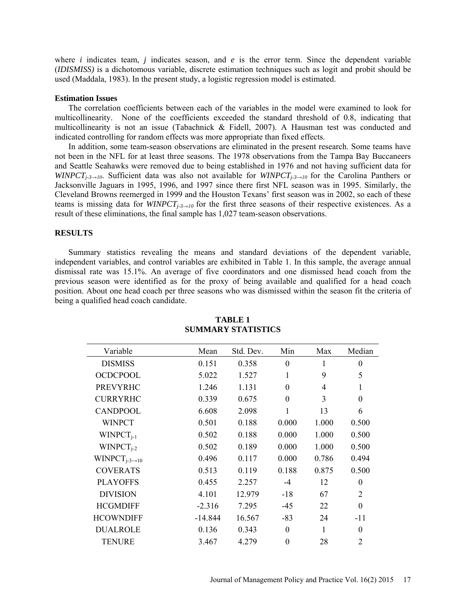where  $i$  indicates team,  $j$  indicates season, and  $e$  is the error term. Since the dependent variable (*IDISMISS)* is a dichotomous variable, discrete estimation techniques such as logit and probit should be used (Maddala, 1983). In the present study, a logistic regression model is estimated.

#### **Estimation Issues**

The correlation coefficients between each of the variables in the model were examined to look for multicollinearity. None of the coefficients exceeded the standard threshold of 0.8, indicating that multicollinearity is not an issue (Tabachnick & Fidell, 2007). A Hausman test was conducted and indicated controlling for random effects was more appropriate than fixed effects.

In addition, some team-season observations are eliminated in the present research. Some teams have not been in the NFL for at least three seasons. The 1978 observations from the Tampa Bay Buccaneers and Seattle Seahawks were removed due to being established in 1976 and not having sufficient data for *WINPCT<sub>j-3→10</sub>*. Sufficient data was also not available for *WINPCT<sub>j-3→10</sub>* for the Carolina Panthers or Jacksonville Jaguars in 1995, 1996, and 1997 since there first NFL season was in 1995. Similarly, the Cleveland Browns reemerged in 1999 and the Houston Texans' first season was in 2002, so each of these teams is missing data for *WINPCT<sub>i-3→10</sub>* for the first three seasons of their respective existences. As a result of these eliminations, the final sample has 1,027 team-season observations.

#### **RESULTS**

Summary statistics revealing the means and standard deviations of the dependent variable, independent variables, and control variables are exhibited in Table 1. In this sample, the average annual dismissal rate was 15.1%. An average of five coordinators and one dismissed head coach from the previous season were identified as for the proxy of being available and qualified for a head coach position. About one head coach per three seasons who was dismissed within the season fit the criteria of being a qualified head coach candidate.

| Variable                 | Mean      | Std. Dev. | Min      | Max   | Median           |
|--------------------------|-----------|-----------|----------|-------|------------------|
| <b>DISMISS</b>           | 0.151     | 0.358     | $\theta$ | 1     | $\boldsymbol{0}$ |
| <b>OCDCPOOL</b>          | 5.022     | 1.527     | 1        | 9     | 5                |
| <b>PREVYRHC</b>          | 1.246     | 1.131     | $\Omega$ | 4     | 1                |
| <b>CURRYRHC</b>          | 0.339     | 0.675     | $\Omega$ | 3     | $\boldsymbol{0}$ |
| <b>CANDPOOL</b>          | 6.608     | 2.098     | 1        | 13    | 6                |
| <b>WINPCT</b>            | 0.501     | 0.188     | 0.000    | 1.000 | 0.500            |
| $WINPCT_{i-1}$           | 0.502     | 0.188     | 0.000    | 1.000 | 0.500            |
| $WINPCT_{i-2}$           | 0.502     | 0.189     | 0.000    | 1.000 | 0.500            |
| WINPCT <sub>i-3→10</sub> | 0.496     | 0.117     | 0.000    | 0.786 | 0.494            |
| <b>COVERATS</b>          | 0.513     | 0.119     | 0.188    | 0.875 | 0.500            |
| <b>PLAYOFFS</b>          | 0.455     | 2.257     | $-4$     | 12    | $\boldsymbol{0}$ |
| <b>DIVISION</b>          | 4.101     | 12.979    | $-18$    | 67    | $\overline{2}$   |
| <b>HCGMDIFF</b>          | $-2.316$  | 7.295     | $-45$    | 22    | $\theta$         |
| <b>HCOWNDIFF</b>         | $-14.844$ | 16.567    | $-83$    | 24    | $-11$            |
| <b>DUALROLE</b>          | 0.136     | 0.343     | $\Omega$ |       | $\theta$         |
| <b>TENURE</b>            | 3.467     | 4.279     | $\theta$ | 28    | $\overline{2}$   |

# **TABLE 1 SUMMARY STATISTICS**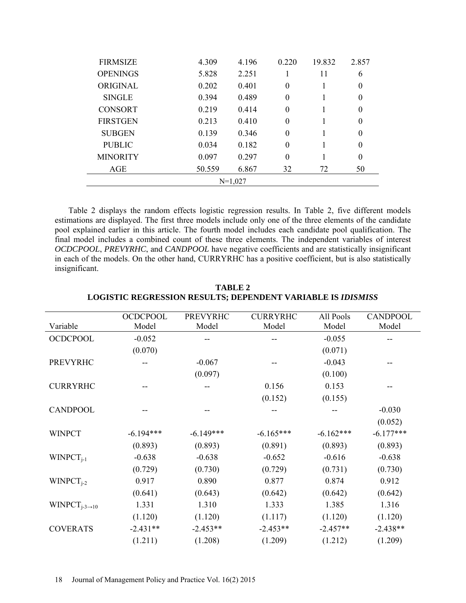| <b>FIRMSIZE</b> | 4.309  | 4.196 | 0.220            | 19.832 | 2.857          |  |
|-----------------|--------|-------|------------------|--------|----------------|--|
| <b>OPENINGS</b> | 5.828  | 2.251 |                  | 11     | 6              |  |
| ORIGINAL        | 0.202  | 0.401 | $\theta$         |        | $\overline{0}$ |  |
| <b>SINGLE</b>   | 0.394  | 0.489 | $\theta$         |        | $\Omega$       |  |
| <b>CONSORT</b>  | 0.219  | 0.414 | $\boldsymbol{0}$ |        | $\theta$       |  |
| <b>FIRSTGEN</b> | 0.213  | 0.410 | $\theta$         |        | $\theta$       |  |
| <b>SUBGEN</b>   | 0.139  | 0.346 | $\theta$         |        | $\Omega$       |  |
| <b>PUBLIC</b>   | 0.034  | 0.182 | $\theta$         |        | $\theta$       |  |
| <b>MINORITY</b> | 0.097  | 0.297 | $\theta$         |        | $\Omega$       |  |
| AGE             | 50.559 | 6.867 | 32               | 72     | 50             |  |
| $N=1.027$       |        |       |                  |        |                |  |

Table 2 displays the random effects logistic regression results. In Table 2, five different models estimations are displayed. The first three models include only one of the three elements of the candidate pool explained earlier in this article. The fourth model includes each candidate pool qualification. The final model includes a combined count of these three elements. The independent variables of interest *OCDCPOOL*, *PREVYRHC*, and *CANDPOOL* have negative coefficients and are statistically insignificant in each of the models. On the other hand, CURRYRHC has a positive coefficient, but is also statistically insignificant.

|                                                 | <b>OCDCPOOL</b> | <b>PREVYRHC</b> | <b>CURRYRHC</b> | All Pools   | <b>CANDPOOL</b> |
|-------------------------------------------------|-----------------|-----------------|-----------------|-------------|-----------------|
| Variable                                        | Model           | Model           | Model           | Model       | Model           |
| <b>OCDCPOOL</b>                                 | $-0.052$        |                 |                 | $-0.055$    |                 |
|                                                 | (0.070)         |                 |                 | (0.071)     |                 |
| <b>PREVYRHC</b>                                 |                 | $-0.067$        |                 | $-0.043$    |                 |
|                                                 |                 | (0.097)         |                 | (0.100)     |                 |
| <b>CURRYRHC</b>                                 |                 |                 | 0.156           | 0.153       |                 |
|                                                 |                 |                 | (0.152)         | (0.155)     |                 |
| <b>CANDPOOL</b>                                 |                 |                 |                 |             | $-0.030$        |
|                                                 |                 |                 |                 |             | (0.052)         |
| <b>WINPCT</b>                                   | $-6.194***$     | $-6.149***$     | $-6.165***$     | $-6.162***$ | $-6.177***$     |
|                                                 | (0.893)         | (0.893)         | (0.891)         | (0.893)     | (0.893)         |
| $WINPCT_{i-1}$                                  | $-0.638$        | $-0.638$        | $-0.652$        | $-0.616$    | $-0.638$        |
|                                                 | (0.729)         | (0.730)         | (0.729)         | (0.731)     | (0.730)         |
| $WINPCT_{i-2}$                                  | 0.917           | 0.890           | 0.877           | 0.874       | 0.912           |
|                                                 | (0.641)         | (0.643)         | (0.642)         | (0.642)     | (0.642)         |
| WINPCT <sub>j-3<math>\rightarrow</math>10</sub> | 1.331           | 1.310           | 1.333           | 1.385       | 1.316           |
|                                                 | (1.120)         | (1.120)         | (1.117)         | (1.120)     | (1.120)         |
| <b>COVERATS</b>                                 | $-2.431**$      | $-2.453**$      | $-2.453**$      | $-2.457**$  | $-2.438**$      |
|                                                 | (1.211)         | (1.208)         | (1.209)         | (1.212)     | (1.209)         |

**TABLE 2 LOGISTIC REGRESSION RESULTS; DEPENDENT VARIABLE IS** *IDISMISS*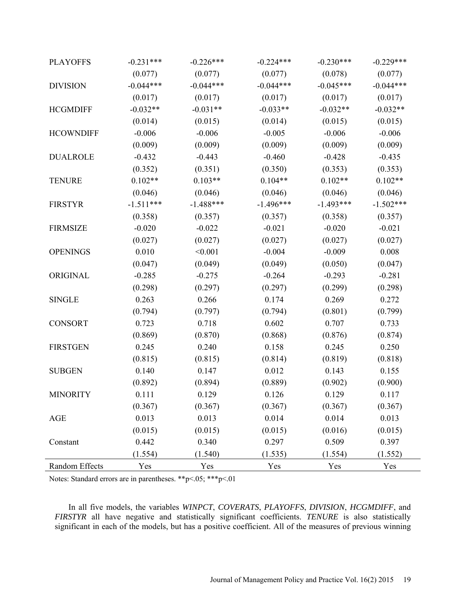| <b>PLAYOFFS</b>  | $-0.231***$ | $-0.226***$ | $-0.224***$ | $-0.230***$ | $-0.229***$ |
|------------------|-------------|-------------|-------------|-------------|-------------|
|                  | (0.077)     | (0.077)     | (0.077)     | (0.078)     | (0.077)     |
| <b>DIVISION</b>  | $-0.044***$ | $-0.044***$ | $-0.044***$ | $-0.045***$ | $-0.044***$ |
|                  | (0.017)     | (0.017)     | (0.017)     | (0.017)     | (0.017)     |
| <b>HCGMDIFF</b>  | $-0.032**$  | $-0.031**$  | $-0.033**$  | $-0.032**$  | $-0.032**$  |
|                  | (0.014)     | (0.015)     | (0.014)     | (0.015)     | (0.015)     |
| <b>HCOWNDIFF</b> | $-0.006$    | $-0.006$    | $-0.005$    | $-0.006$    | $-0.006$    |
|                  | (0.009)     | (0.009)     | (0.009)     | (0.009)     | (0.009)     |
| <b>DUALROLE</b>  | $-0.432$    | $-0.443$    | $-0.460$    | $-0.428$    | $-0.435$    |
|                  | (0.352)     | (0.351)     | (0.350)     | (0.353)     | (0.353)     |
| <b>TENURE</b>    | $0.102**$   | $0.103**$   | $0.104**$   | $0.102**$   | $0.102**$   |
|                  | (0.046)     | (0.046)     | (0.046)     | (0.046)     | (0.046)     |
| <b>FIRSTYR</b>   | $-1.511***$ | $-1.488***$ | $-1.496***$ | $-1.493***$ | $-1.502***$ |
|                  | (0.358)     | (0.357)     | (0.357)     | (0.358)     | (0.357)     |
| <b>FIRMSIZE</b>  | $-0.020$    | $-0.022$    | $-0.021$    | $-0.020$    | $-0.021$    |
|                  | (0.027)     | (0.027)     | (0.027)     | (0.027)     | (0.027)     |
| <b>OPENINGS</b>  | 0.010       | < 0.001     | $-0.004$    | $-0.009$    | 0.008       |
|                  | (0.047)     | (0.049)     | (0.049)     | (0.050)     | (0.047)     |
| ORIGINAL         | $-0.285$    | $-0.275$    | $-0.264$    | $-0.293$    | $-0.281$    |
|                  | (0.298)     | (0.297)     | (0.297)     | (0.299)     | (0.298)     |
| <b>SINGLE</b>    | 0.263       | 0.266       | 0.174       | 0.269       | 0.272       |
|                  | (0.794)     | (0.797)     | (0.794)     | (0.801)     | (0.799)     |
| <b>CONSORT</b>   | 0.723       | 0.718       | 0.602       | 0.707       | 0.733       |
|                  | (0.869)     | (0.870)     | (0.868)     | (0.876)     | (0.874)     |
| <b>FIRSTGEN</b>  | 0.245       | 0.240       | 0.158       | 0.245       | 0.250       |
|                  | (0.815)     | (0.815)     | (0.814)     | (0.819)     | (0.818)     |
| <b>SUBGEN</b>    | 0.140       | 0.147       | 0.012       | 0.143       | 0.155       |
|                  | (0.892)     | (0.894)     | (0.889)     | (0.902)     | (0.900)     |
| <b>MINORITY</b>  | 0.111       | 0.129       | 0.126       | 0.129       | 0.117       |
|                  | (0.367)     | (0.367)     | (0.367)     | (0.367)     | (0.367)     |
| AGE              | 0.013       | 0.013       | 0.014       | 0.014       | 0.013       |
|                  | (0.015)     | (0.015)     | (0.015)     | (0.016)     | (0.015)     |
| Constant         | 0.442       | 0.340       | 0.297       | 0.509       | 0.397       |
|                  | (1.554)     | (1.540)     | (1.535)     | (1.554)     | (1.552)     |
| Random Effects   | Yes         | Yes         | Yes         | Yes         | Yes         |

Notes: Standard errors are in parentheses. \*\*p<.05; \*\*\*p<.01

In all five models, the variables *WINPCT*, *COVERATS*, *PLAYOFFS*, *DIVISION*, *HCGMDIFF*, and *FIRSTYR* all have negative and statistically significant coefficients. *TENURE* is also statistically significant in each of the models, but has a positive coefficient. All of the measures of previous winning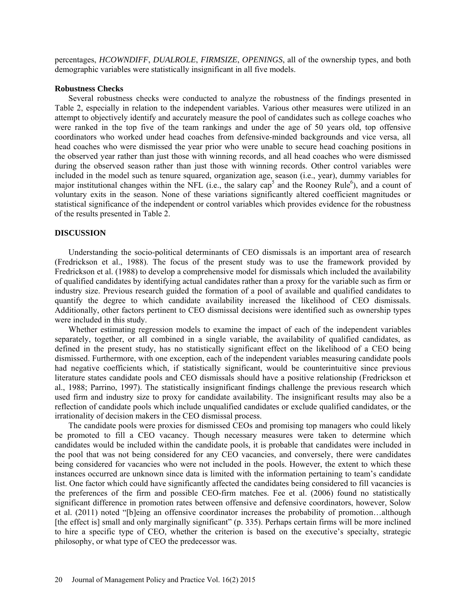percentages, *HCOWNDIFF*, *DUALROLE*, *FIRMSIZE*, *OPENINGS*, all of the ownership types, and both demographic variables were statistically insignificant in all five models.

### **Robustness Checks**

Several robustness checks were conducted to analyze the robustness of the findings presented in Table 2, especially in relation to the independent variables. Various other measures were utilized in an attempt to objectively identify and accurately measure the pool of candidates such as college coaches who were ranked in the top five of the team rankings and under the age of 50 years old, top offensive coordinators who worked under head coaches from defensive-minded backgrounds and vice versa, all head coaches who were dismissed the year prior who were unable to secure head coaching positions in the observed year rather than just those with winning records, and all head coaches who were dismissed during the observed season rather than just those with winning records. Other control variables were included in the model such as tenure squared, organization age, season (i.e., year), dummy variables for major institutional changes within the NFL (i.e., the salary cap<sup>5</sup> and the Rooney Rule<sup>6</sup>), and a count of voluntary exits in the season. None of these variations significantly altered coefficient magnitudes or statistical significance of the independent or control variables which provides evidence for the robustness of the results presented in Table 2.

#### **DISCUSSION**

Understanding the socio-political determinants of CEO dismissals is an important area of research (Fredrickson et al., 1988). The focus of the present study was to use the framework provided by Fredrickson et al. (1988) to develop a comprehensive model for dismissals which included the availability of qualified candidates by identifying actual candidates rather than a proxy for the variable such as firm or industry size. Previous research guided the formation of a pool of available and qualified candidates to quantify the degree to which candidate availability increased the likelihood of CEO dismissals. Additionally, other factors pertinent to CEO dismissal decisions were identified such as ownership types were included in this study.

Whether estimating regression models to examine the impact of each of the independent variables separately, together, or all combined in a single variable, the availability of qualified candidates, as defined in the present study, has no statistically significant effect on the likelihood of a CEO being dismissed. Furthermore, with one exception, each of the independent variables measuring candidate pools had negative coefficients which, if statistically significant, would be counterintuitive since previous literature states candidate pools and CEO dismissals should have a positive relationship (Fredrickson et al., 1988; Parrino, 1997). The statistically insignificant findings challenge the previous research which used firm and industry size to proxy for candidate availability. The insignificant results may also be a reflection of candidate pools which include unqualified candidates or exclude qualified candidates, or the irrationality of decision makers in the CEO dismissal process.

The candidate pools were proxies for dismissed CEOs and promising top managers who could likely be promoted to fill a CEO vacancy. Though necessary measures were taken to determine which candidates would be included within the candidate pools, it is probable that candidates were included in the pool that was not being considered for any CEO vacancies, and conversely, there were candidates being considered for vacancies who were not included in the pools. However, the extent to which these instances occurred are unknown since data is limited with the information pertaining to team's candidate list. One factor which could have significantly affected the candidates being considered to fill vacancies is the preferences of the firm and possible CEO-firm matches. Fee et al. (2006) found no statistically significant difference in promotion rates between offensive and defensive coordinators, however, Solow et al. (2011) noted "[b]eing an offensive coordinator increases the probability of promotion…although [the effect is] small and only marginally significant" (p. 335). Perhaps certain firms will be more inclined to hire a specific type of CEO, whether the criterion is based on the executive's specialty, strategic philosophy, or what type of CEO the predecessor was.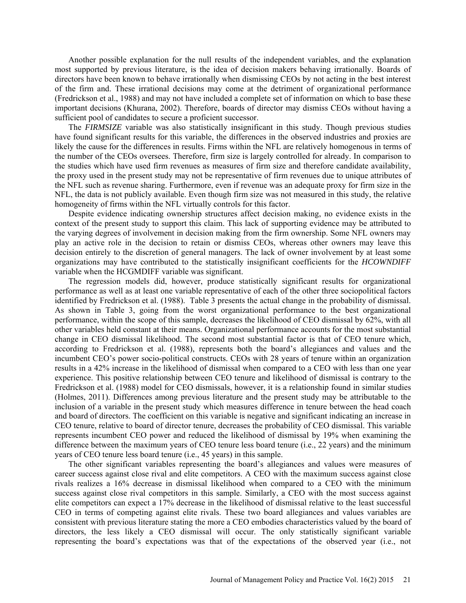Another possible explanation for the null results of the independent variables, and the explanation most supported by previous literature, is the idea of decision makers behaving irrationally. Boards of directors have been known to behave irrationally when dismissing CEOs by not acting in the best interest of the firm and. These irrational decisions may come at the detriment of organizational performance (Fredrickson et al., 1988) and may not have included a complete set of information on which to base these important decisions (Khurana, 2002). Therefore, boards of director may dismiss CEOs without having a sufficient pool of candidates to secure a proficient successor.

The *FIRMSIZE* variable was also statistically insignificant in this study. Though previous studies have found significant results for this variable, the differences in the observed industries and proxies are likely the cause for the differences in results. Firms within the NFL are relatively homogenous in terms of the number of the CEOs oversees. Therefore, firm size is largely controlled for already. In comparison to the studies which have used firm revenues as measures of firm size and therefore candidate availability, the proxy used in the present study may not be representative of firm revenues due to unique attributes of the NFL such as revenue sharing. Furthermore, even if revenue was an adequate proxy for firm size in the NFL, the data is not publicly available. Even though firm size was not measured in this study, the relative homogeneity of firms within the NFL virtually controls for this factor.

Despite evidence indicating ownership structures affect decision making, no evidence exists in the context of the present study to support this claim. This lack of supporting evidence may be attributed to the varying degrees of involvement in decision making from the firm ownership. Some NFL owners may play an active role in the decision to retain or dismiss CEOs, whereas other owners may leave this decision entirely to the discretion of general managers. The lack of owner involvement by at least some organizations may have contributed to the statistically insignificant coefficients for the *HCOWNDIFF* variable when the HCGMDIFF variable was significant.

The regression models did, however, produce statistically significant results for organizational performance as well as at least one variable representative of each of the other three sociopolitical factors identified by Fredrickson et al. (1988). Table 3 presents the actual change in the probability of dismissal. As shown in Table 3, going from the worst organizational performance to the best organizational performance, within the scope of this sample, decreases the likelihood of CEO dismissal by 62%, with all other variables held constant at their means. Organizational performance accounts for the most substantial change in CEO dismissal likelihood. The second most substantial factor is that of CEO tenure which, according to Fredrickson et al. (1988), represents both the board's allegiances and values and the incumbent CEO's power socio-political constructs. CEOs with 28 years of tenure within an organization results in a 42% increase in the likelihood of dismissal when compared to a CEO with less than one year experience. This positive relationship between CEO tenure and likelihood of dismissal is contrary to the Fredrickson et al. (1988) model for CEO dismissals, however, it is a relationship found in similar studies (Holmes, 2011). Differences among previous literature and the present study may be attributable to the inclusion of a variable in the present study which measures difference in tenure between the head coach and board of directors. The coefficient on this variable is negative and significant indicating an increase in CEO tenure, relative to board of director tenure, decreases the probability of CEO dismissal. This variable represents incumbent CEO power and reduced the likelihood of dismissal by 19% when examining the difference between the maximum years of CEO tenure less board tenure (i.e., 22 years) and the minimum years of CEO tenure less board tenure (i.e., 45 years) in this sample.

The other significant variables representing the board's allegiances and values were measures of career success against close rival and elite competitors. A CEO with the maximum success against close rivals realizes a 16% decrease in dismissal likelihood when compared to a CEO with the minimum success against close rival competitors in this sample. Similarly, a CEO with the most success against elite competitors can expect a 17% decrease in the likelihood of dismissal relative to the least successful CEO in terms of competing against elite rivals. These two board allegiances and values variables are consistent with previous literature stating the more a CEO embodies characteristics valued by the board of directors, the less likely a CEO dismissal will occur. The only statistically significant variable representing the board's expectations was that of the expectations of the observed year (i.e., not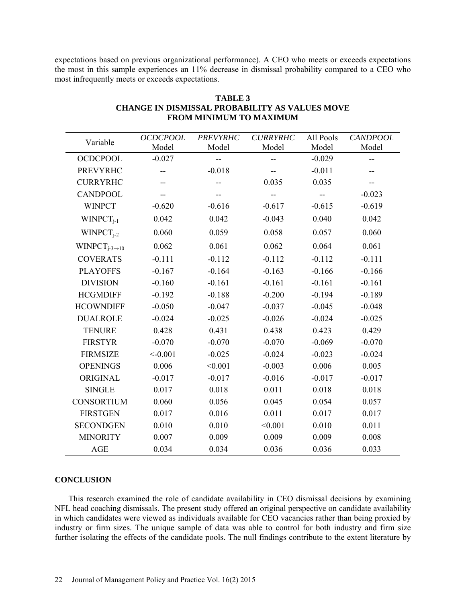expectations based on previous organizational performance). A CEO who meets or exceeds expectations the most in this sample experiences an 11% decrease in dismissal probability compared to a CEO who most infrequently meets or exceeds expectations.

| Variable                     | <b>OCDCPOOL</b> | <b>PREVYRHC</b> | <b>CURRYRHC</b> | All Pools | <b>CANDPOOL</b> |
|------------------------------|-----------------|-----------------|-----------------|-----------|-----------------|
|                              | Model           | Model           | Model           | Model     | Model           |
| <b>OCDCPOOL</b>              | $-0.027$        |                 |                 | $-0.029$  |                 |
| <b>PREVYRHC</b>              |                 | $-0.018$        |                 | $-0.011$  | --              |
| <b>CURRYRHC</b>              |                 |                 | 0.035           | 0.035     | --              |
| <b>CANDPOOL</b>              |                 |                 |                 |           | $-0.023$        |
| <b>WINPCT</b>                | $-0.620$        | $-0.616$        | $-0.617$        | $-0.615$  | $-0.619$        |
| $WINPCT_{i-1}$               | 0.042           | 0.042           | $-0.043$        | 0.040     | 0.042           |
| $WINPCT_{i-2}$               | 0.060           | 0.059           | 0.058           | 0.057     | 0.060           |
| $WINPCT_{j-3\rightarrow 10}$ | 0.062           | 0.061           | 0.062           | 0.064     | 0.061           |
| <b>COVERATS</b>              | $-0.111$        | $-0.112$        | $-0.112$        | $-0.112$  | $-0.111$        |
| <b>PLAYOFFS</b>              | $-0.167$        | $-0.164$        | $-0.163$        | $-0.166$  | $-0.166$        |
| <b>DIVISION</b>              | $-0.160$        | $-0.161$        | $-0.161$        | $-0.161$  | $-0.161$        |
| <b>HCGMDIFF</b>              | $-0.192$        | $-0.188$        | $-0.200$        | $-0.194$  | $-0.189$        |
| <b>HCOWNDIFF</b>             | $-0.050$        | $-0.047$        | $-0.037$        | $-0.045$  | $-0.048$        |
| <b>DUALROLE</b>              | $-0.024$        | $-0.025$        | $-0.026$        | $-0.024$  | $-0.025$        |
| <b>TENURE</b>                | 0.428           | 0.431           | 0.438           | 0.423     | 0.429           |
| <b>FIRSTYR</b>               | $-0.070$        | $-0.070$        | $-0.070$        | $-0.069$  | $-0.070$        |
| <b>FIRMSIZE</b>              | < 0.001         | $-0.025$        | $-0.024$        | $-0.023$  | $-0.024$        |
| <b>OPENINGS</b>              | 0.006           | < 0.001         | $-0.003$        | 0.006     | 0.005           |
| ORIGINAL                     | $-0.017$        | $-0.017$        | $-0.016$        | $-0.017$  | $-0.017$        |
| <b>SINGLE</b>                | 0.017           | 0.018           | 0.011           | 0.018     | 0.018           |
| <b>CONSORTIUM</b>            | 0.060           | 0.056           | 0.045           | 0.054     | 0.057           |
| <b>FIRSTGEN</b>              | 0.017           | 0.016           | 0.011           | 0.017     | 0.017           |
| <b>SECONDGEN</b>             | 0.010           | 0.010           | < 0.001         | 0.010     | 0.011           |
| <b>MINORITY</b>              | 0.007           | 0.009           | 0.009           | 0.009     | 0.008           |
| <b>AGE</b>                   | 0.034           | 0.034           | 0.036           | 0.036     | 0.033           |

# **TABLE 3 CHANGE IN DISMISSAL PROBABILITY AS VALUES MOVE FROM MINIMUM TO MAXIMUM**

# **CONCLUSION**

This research examined the role of candidate availability in CEO dismissal decisions by examining NFL head coaching dismissals. The present study offered an original perspective on candidate availability in which candidates were viewed as individuals available for CEO vacancies rather than being proxied by industry or firm sizes. The unique sample of data was able to control for both industry and firm size further isolating the effects of the candidate pools. The null findings contribute to the extent literature by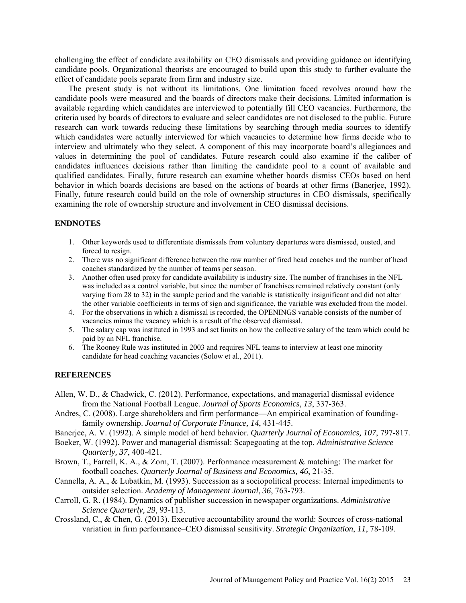challenging the effect of candidate availability on CEO dismissals and providing guidance on identifying candidate pools. Organizational theorists are encouraged to build upon this study to further evaluate the effect of candidate pools separate from firm and industry size.

The present study is not without its limitations. One limitation faced revolves around how the candidate pools were measured and the boards of directors make their decisions. Limited information is available regarding which candidates are interviewed to potentially fill CEO vacancies. Furthermore, the criteria used by boards of directors to evaluate and select candidates are not disclosed to the public. Future research can work towards reducing these limitations by searching through media sources to identify which candidates were actually interviewed for which vacancies to determine how firms decide who to interview and ultimately who they select. A component of this may incorporate board's allegiances and values in determining the pool of candidates. Future research could also examine if the caliber of candidates influences decisions rather than limiting the candidate pool to a count of available and qualified candidates. Finally, future research can examine whether boards dismiss CEOs based on herd behavior in which boards decisions are based on the actions of boards at other firms (Banerjee, 1992). Finally, future research could build on the role of ownership structures in CEO dismissals, specifically examining the role of ownership structure and involvement in CEO dismissal decisions.

### **ENDNOTES**

- 1. Other keywords used to differentiate dismissals from voluntary departures were dismissed, ousted, and forced to resign.
- 2. There was no significant difference between the raw number of fired head coaches and the number of head coaches standardized by the number of teams per season.
- 3. Another often used proxy for candidate availability is industry size. The number of franchises in the NFL was included as a control variable, but since the number of franchises remained relatively constant (only varying from 28 to 32) in the sample period and the variable is statistically insignificant and did not alter the other variable coefficients in terms of sign and significance, the variable was excluded from the model.
- 4. For the observations in which a dismissal is recorded, the OPENINGS variable consists of the number of vacancies minus the vacancy which is a result of the observed dismissal.
- 5. The salary cap was instituted in 1993 and set limits on how the collective salary of the team which could be paid by an NFL franchise.
- 6. The Rooney Rule was instituted in 2003 and requires NFL teams to interview at least one minority candidate for head coaching vacancies (Solow et al., 2011).

### **REFERENCES**

- Allen, W. D., & Chadwick, C. (2012). Performance, expectations, and managerial dismissal evidence from the National Football League. *Journal of Sports Economics*, *13*, 337-363.
- Andres, C. (2008). Large shareholders and firm performance—An empirical examination of foundingfamily ownership. *Journal of Corporate Finance, 14*, 431-445.
- Banerjee, A. V. (1992). A simple model of herd behavior. *Quarterly Journal of Economics, 107*, 797-817.
- Boeker, W. (1992). Power and managerial dismissal: Scapegoating at the top. *Administrative Science Quarterly, 37*, 400-421.
- Brown, T., Farrell, K. A., & Zorn, T. (2007). Performance measurement & matching: The market for football coaches. *Quarterly Journal of Business and Economics, 46*, 21-35.
- Cannella, A. A., & Lubatkin, M. (1993). Succession as a sociopolitical process: Internal impediments to outsider selection. *Academy of Management Journal*, *36*, 763-793.
- Carroll, G. R. (1984). Dynamics of publisher succession in newspaper organizations. *Administrative Science Quarterly, 29*, 93-113.
- Crossland, C., & Chen, G. (2013). Executive accountability around the world: Sources of cross-national variation in firm performance–CEO dismissal sensitivity. *Strategic Organization*, *11*, 78-109.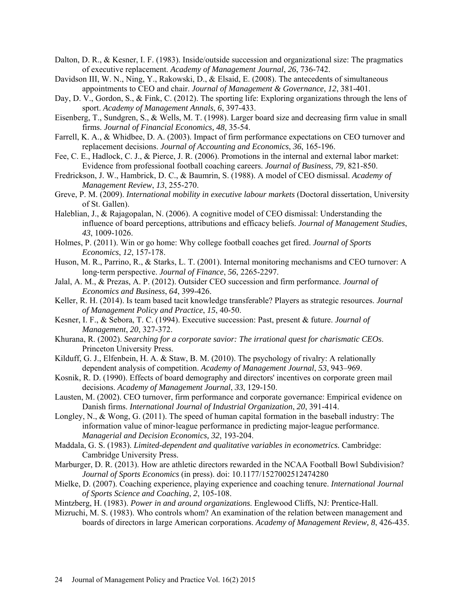- Dalton, D. R., & Kesner, I. F. (1983). Inside/outside succession and organizational size: The pragmatics of executive replacement. *Academy of Management Journal*, *26*, 736-742.
- Davidson III, W. N., Ning, Y., Rakowski, D., & Elsaid, E. (2008). The antecedents of simultaneous appointments to CEO and chair. *Journal of Management & Governance*, *12*, 381-401.
- Day, D. V., Gordon, S., & Fink, C. (2012). The sporting life: Exploring organizations through the lens of sport. *Academy of Management Annals*, *6*, 397-433.
- Eisenberg, T., Sundgren, S., & Wells, M. T. (1998). Larger board size and decreasing firm value in small firms. *Journal of Financial Economics, 48*, 35-54.
- Farrell, K. A., & Whidbee, D. A. (2003). Impact of firm performance expectations on CEO turnover and replacement decisions. *Journal of Accounting and Economics*, *36*, 165-196.
- Fee, C. E., Hadlock, C. J., & Pierce, J. R. (2006). Promotions in the internal and external labor market: Evidence from professional football coaching careers. *Journal of Business*, *79*, 821-850.
- Fredrickson, J. W., Hambrick, D. C., & Baumrin, S. (1988). A model of CEO dismissal. *Academy of Management Review*, *13*, 255-270.
- Greve, P. M. (2009). *International mobility in executive labour markets* (Doctoral dissertation, University of St. Gallen).
- Haleblian, J., & Rajagopalan, N. (2006). A cognitive model of CEO dismissal: Understanding the influence of board perceptions, attributions and efficacy beliefs. *Journal of Management Studies*, *43*, 1009-1026.
- Holmes, P. (2011). Win or go home: Why college football coaches get fired. *Journal of Sports Economics*, *12*, 157-178.
- Huson, M. R., Parrino, R., & Starks, L. T. (2001). Internal monitoring mechanisms and CEO turnover: A long‐term perspective. *Journal of Finance*, *56*, 2265-2297.
- Jalal, A. M., & Prezas, A. P. (2012). Outsider CEO succession and firm performance. *Journal of Economics and Business*, *64*, 399-426.
- Keller, R. H. (2014). Is team based tacit knowledge transferable? Players as strategic resources. *Journal of Management Policy and Practice*, *15*, 40-50.
- Kesner, I. F., & Sebora, T. C. (1994). Executive succession: Past, present & future. *Journal of Management*, *20*, 327-372.
- Khurana, R. (2002). *Searching for a corporate savior: The irrational quest for charismatic CEOs*. Princeton University Press.
- Kilduff, G. J., Elfenbein, H. A. & Staw, B. M. (2010). The psychology of rivalry: A relationally dependent analysis of competition. *Academy of Management Journal*, *53*, 943–969.
- Kosnik, R. D. (1990). Effects of board demography and directors' incentives on corporate green mail decisions. *Academy of Management Journal*, *33*, 129-150.
- Lausten, M. (2002). CEO turnover, firm performance and corporate governance: Empirical evidence on Danish firms. *International Journal of Industrial Organization*, *20*, 391-414.
- Longley, N., & Wong, G. (2011). The speed of human capital formation in the baseball industry: The information value of minor‐league performance in predicting major‐league performance. *Managerial and Decision Economics, 32*, 193-204.
- Maddala, G. S. (1983). *Limited-dependent and qualitative variables in econometrics.* Cambridge: Cambridge University Press.
- Marburger, D. R. (2013). How are athletic directors rewarded in the NCAA Football Bowl Subdivision? *Journal of Sports Economics* (in press). doi: 10.1177/1527002512474280
- Mielke, D. (2007). Coaching experience, playing experience and coaching tenure. *International Journal of Sports Science and Coaching*, *2*, 105-108.
- Mintzberg, H. (1983). *Power in and around organizations*. Englewood Cliffs, NJ: Prentice-Hall.
- Mizruchi, M. S. (1983). Who controls whom? An examination of the relation between management and boards of directors in large American corporations. *Academy of Management Review, 8*, 426-435.